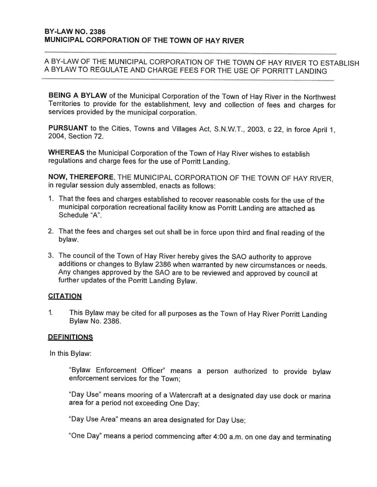BEING A BYLAW of the Municipal Corporation of the Town of Hay River in the Northwest Territories to provide for the establishment, levy and collection of fees and charges for services provided by the municipal corporation.

PURSUANT to the Cities, Towns and Villages Act, S.N.W.T., 2003, c 22, in force April 1, 2004, Section 72.

WHEREAS the Municipal Corporation of the Town of Hay River wishes to establish regulations and charge fees for the use of Porritt Landing.

NOW, THEREFORE, THE MUNICIPAL CORPORATION OF THE TOWN OF HAY RIVER. in regular session duly assembled, enacts as follows:

- 1. That the fees and charges established to recover reasonable costs for the use of the municipal corporation recreational facility know as Porritt Landing are attached as Schedule "A".
- 2. That the fees and charges set out shall be in force upon third and final reading of the bylaw.
- 3. The council of the Town of Hay River hereby gives the SAO authority to approve additions or changes to Bylaw 2386 when warranted by new circumstances or needs. Any changes approved by the SAO are to be reviewed and approved by council at further updates of the Porritt Landing Bylaw.

#### **CITATION**

This Bylaw may be cited for all purposes as the Town of Hay River Porritt Landing  $\mathbf{1}$ Bylaw No. 2386.

#### **DEFINITIONS**

In this Bylaw:

"Bylaw Enforcement Officer" means a person authorized to provide bylaw enforcement services for the Town:

"Day Use" means mooring of a Watercraft at a designated day use dock or marina area for a period not exceeding One Day:

"Day Use Area" means an area designated for Day Use;

"One Day" means a period commencing after 4:00 a.m. on one day and terminating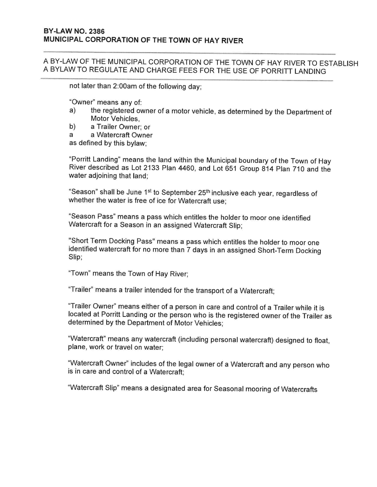not later than 2:00am of the following day;

"Owner" means any of:

- the registered owner of a motor vehicle, as determined by the Department of a) Motor Vehicles.
- b) a Trailer Owner: or
- a Watercraft Owner a

as defined by this bylaw:

"Porritt Landing" means the land within the Municipal boundary of the Town of Hay River described as Lot 2133 Plan 4460, and Lot 651 Group 814 Plan 710 and the water adjoining that land:

"Season" shall be June 1<sup>st</sup> to September 25<sup>th</sup> inclusive each year, regardless of whether the water is free of ice for Watercraft use:

"Season Pass" means a pass which entitles the holder to moor one identified Watercraft for a Season in an assigned Watercraft Slip;

"Short Term Docking Pass" means a pass which entitles the holder to moor one identified watercraft for no more than 7 days in an assigned Short-Term Docking Slip;

"Town" means the Town of Hay River;

"Trailer" means a trailer intended for the transport of a Watercraft;

"Trailer Owner" means either of a person in care and control of a Trailer while it is located at Porritt Landing or the person who is the registered owner of the Trailer as determined by the Department of Motor Vehicles;

"Watercraft" means any watercraft (including personal watercraft) designed to float, plane, work or travel on water:

"Watercraft Owner" includes of the legal owner of a Watercraft and any person who is in care and control of a Watercraft:

"Watercraft Slip" means a designated area for Seasonal mooring of Watercrafts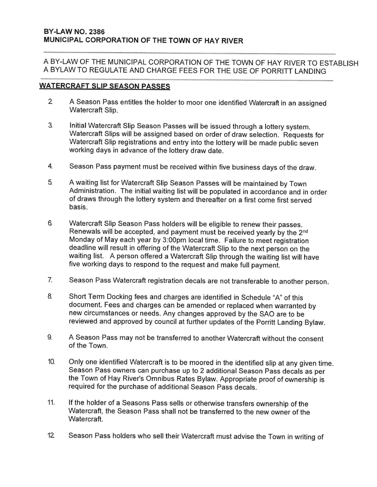### **WATERCRAFT SLIP SEASON PASSES**

- $\overline{2}$ A Season Pass entitles the holder to moor one identified Watercraft in an assigned Watercraft Slip.
- 3. Initial Watercraft Slip Season Passes will be issued through a lottery system. Watercraft Slips will be assigned based on order of draw selection. Requests for Watercraft Slip registrations and entry into the lottery will be made public seven working days in advance of the lottery draw date.
- 4. Season Pass payment must be received within five business days of the draw.
- 5. A waiting list for Watercraft Slip Season Passes will be maintained by Town Administration. The initial waiting list will be populated in accordance and in order of draws through the lottery system and thereafter on a first come first served basis.
- 6. Watercraft Slip Season Pass holders will be eligible to renew their passes. Renewals will be accepted, and payment must be received yearly by the 2nd Monday of May each year by 3:00pm local time. Failure to meet registration deadline will result in offering of the Watercraft Slip to the next person on the waiting list. A person offered a Watercraft Slip through the waiting list will have five working days to respond to the request and make full payment.
- $\overline{7}$ . Season Pass Watercraft registration decals are not transferable to another person.
- 8 Short Term Docking fees and charges are identified in Schedule "A" of this document. Fees and charges can be amended or replaced when warranted by new circumstances or needs. Any changes approved by the SAO are to be reviewed and approved by council at further updates of the Porritt Landing Bylaw.
- A Season Pass may not be transferred to another Watercraft without the consent 9. of the Town.
- Only one identified Watercraft is to be moored in the identified slip at any given time. 10. Season Pass owners can purchase up to 2 additional Season Pass decals as per the Town of Hay River's Omnibus Rates Bylaw. Appropriate proof of ownership is required for the purchase of additional Season Pass decals.
- $11.$ If the holder of a Seasons Pass sells or otherwise transfers ownership of the Watercraft, the Season Pass shall not be transferred to the new owner of the Watercraft.
- $12$ Season Pass holders who sell their Watercraft must advise the Town in writing of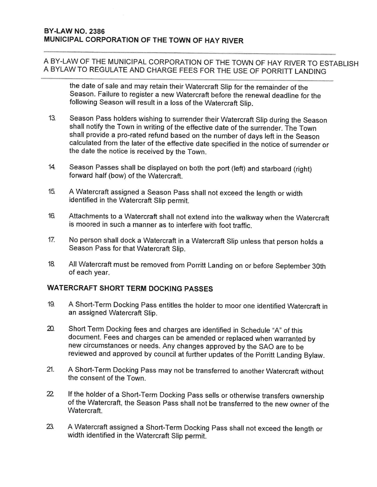the date of sale and may retain their Watercraft Slip for the remainder of the Season. Failure to register a new Watercraft before the renewal deadline for the following Season will result in a loss of the Watercraft Slip.

- Season Pass holders wishing to surrender their Watercraft Slip during the Season  $13.$ shall notify the Town in writing of the effective date of the surrender. The Town shall provide a pro-rated refund based on the number of days left in the Season calculated from the later of the effective date specified in the notice of surrender or the date the notice is received by the Town.
- $14.$ Season Passes shall be displayed on both the port (left) and starboard (right) forward half (bow) of the Watercraft.
- $15.$ A Watercraft assigned a Season Pass shall not exceed the length or width identified in the Watercraft Slip permit.
- 16. Attachments to a Watercraft shall not extend into the walkway when the Watercraft is moored in such a manner as to interfere with foot traffic.
- $17.$ No person shall dock a Watercraft in a Watercraft Slip unless that person holds a Season Pass for that Watercraft Slip.
- 18. All Watercraft must be removed from Porritt Landing on or before September 30th of each year.

# **WATERCRAFT SHORT TERM DOCKING PASSES**

- 19 A Short-Term Docking Pass entitles the holder to moor one identified Watercraft in an assigned Watercraft Slip.
- 20. Short Term Docking fees and charges are identified in Schedule "A" of this document. Fees and charges can be amended or replaced when warranted by new circumstances or needs. Any changes approved by the SAO are to be reviewed and approved by council at further updates of the Porritt Landing Bylaw.
- 21. A Short-Term Docking Pass may not be transferred to another Watercraft without the consent of the Town.
- $22$ If the holder of a Short-Term Docking Pass sells or otherwise transfers ownership of the Watercraft, the Season Pass shall not be transferred to the new owner of the Watercraft.
- 23. A Watercraft assigned a Short-Term Docking Pass shall not exceed the length or width identified in the Watercraft Slip permit.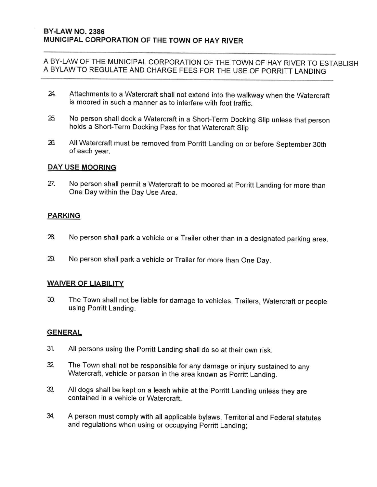- 24. Attachments to a Watercraft shall not extend into the walkway when the Watercraft is moored in such a manner as to interfere with foot traffic.
- 25. No person shall dock a Watercraft in a Short-Term Docking Slip unless that person holds a Short-Term Docking Pass for that Watercraft Slip
- 26. All Watercraft must be removed from Porritt Landing on or before September 30th of each year.

### **DAY USE MOORING**

27. No person shall permit a Watercraft to be moored at Porritt Landing for more than One Day within the Day Use Area.

### **PARKING**

- 28. No person shall park a vehicle or a Trailer other than in a designated parking area.
- 29. No person shall park a vehicle or Trailer for more than One Day.

### **WAIVER OF LIABILITY**

The Town shall not be liable for damage to vehicles, Trailers, Watercraft or people 30. using Porritt Landing.

### **GENERAL**

- $31.$ All persons using the Porritt Landing shall do so at their own risk.
- 32 The Town shall not be responsible for any damage or injury sustained to any Watercraft, vehicle or person in the area known as Porritt Landing.
- 33. All dogs shall be kept on a leash while at the Porritt Landing unless they are contained in a vehicle or Watercraft
- 34. A person must comply with all applicable bylaws, Territorial and Federal statutes and regulations when using or occupying Porritt Landing: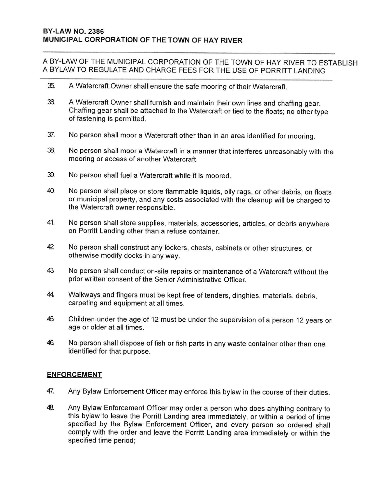- 35. A Watercraft Owner shall ensure the safe mooring of their Watercraft.
- 36. A Watercraft Owner shall furnish and maintain their own lines and chaffing gear. Chaffing gear shall be attached to the Watercraft or tied to the floats; no other type of fastening is permitted.
- 37. No person shall moor a Watercraft other than in an area identified for mooring.
- 38. No person shall moor a Watercraft in a manner that interferes unreasonably with the mooring or access of another Watercraft
- 39. No person shall fuel a Watercraft while it is moored.
- 40. No person shall place or store flammable liquids, oily rags, or other debris, on floats or municipal property, and any costs associated with the cleanup will be charged to the Watercraft owner responsible.
- 41. No person shall store supplies, materials, accessories, articles, or debris anywhere on Porritt Landing other than a refuse container.
- 42 No person shall construct any lockers, chests, cabinets or other structures, or otherwise modify docks in any way.
- 43. No person shall conduct on-site repairs or maintenance of a Watercraft without the prior written consent of the Senior Administrative Officer.
- 44. Walkways and fingers must be kept free of tenders, dinghies, materials, debris, carpeting and equipment at all times.
- 45. Children under the age of 12 must be under the supervision of a person 12 years or age or older at all times.
- 46. No person shall dispose of fish or fish parts in any waste container other than one identified for that purpose.

### **ENFORCEMENT**

- 47. Any Bylaw Enforcement Officer may enforce this bylaw in the course of their duties.
- 48. Any Bylaw Enforcement Officer may order a person who does anything contrary to this bylaw to leave the Porritt Landing area immediately, or within a period of time specified by the Bylaw Enforcement Officer, and every person so ordered shall comply with the order and leave the Porritt Landing area immediately or within the specified time period;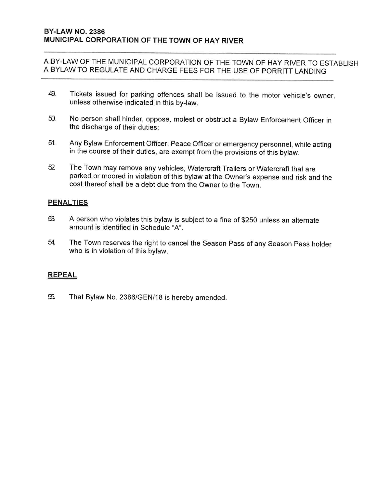- 49. Tickets issued for parking offences shall be issued to the motor vehicle's owner, unless otherwise indicated in this by-law.
- 50. No person shall hinder, oppose, molest or obstruct a Bylaw Enforcement Officer in the discharge of their duties:
- 51. Any Bylaw Enforcement Officer, Peace Officer or emergency personnel, while acting in the course of their duties, are exempt from the provisions of this bylaw.
- 52 The Town may remove any vehicles, Watercraft Trailers or Watercraft that are parked or moored in violation of this bylaw at the Owner's expense and risk and the cost thereof shall be a debt due from the Owner to the Town.

### **PENALTIES**

- A person who violates this bylaw is subject to a fine of \$250 unless an alternate 53. amount is identified in Schedule "A".
- 54. The Town reserves the right to cancel the Season Pass of any Season Pass holder who is in violation of this bylaw.

### **REPEAL**

55. That Bylaw No. 2386/GEN/18 is hereby amended.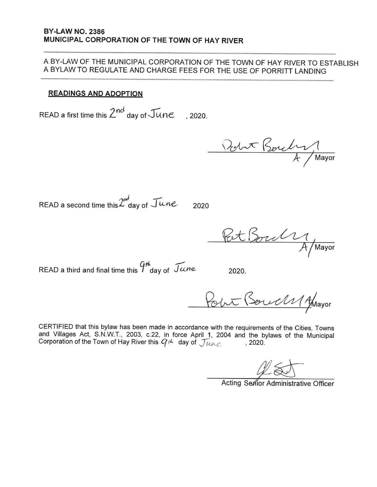#### **READINGS AND ADOPTION**

READ a first time this  $2^{nd}$  day of  $\sqrt{u}$ ne  $.2020.$ 

Robert Boucher

READ a second time this  $2^{nd}$  day of  $\mathcal{I}$ une

2020

Pat Borch

READ a third and final time this  $9<sup>th</sup>$  day of  $\mathcal{T}$ une

2020.

Point (Servels 1 Almayor

CERTIFIED that this bylaw has been made in accordance with the requirements of the Cities, Towns and Villages Act, S.N.W.T., 2003, c.22, in force April 1, 2004 and the bylaws of the Municipal Corporation of the Town of Hay River this  $G^{\mu}$  day of  $\mathcal{J}\mu$  $, 2020.$ 

Acting Serior Administrative Officer